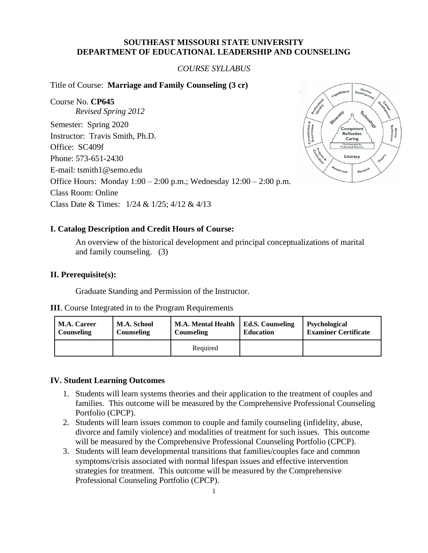## **SOUTHEAST MISSOURI STATE UNIVERSITY DEPARTMENT OF EDUCATIONAL LEADERSHIP AND COUNSELING**

## *COURSE SYLLABUS*

Title of Course: **Marriage and Family Counseling (3 cr)** 

Course No. **CP645** *Revised Spring 2012* Semester: Spring 2020 Instructor: Travis Smith, Ph.D. Office: SC409f Phone: 573-651-2430 E-mail: tsmith1@semo.edu Office Hours: Monday 1:00 – 2:00 p.m.; Wednesday 12:00 – 2:00 p.m. Class Room: Online Class Date & Times: 1/24 & 1/25; 4/12 & 4/13



### **I. Catalog Description and Credit Hours of Course:**

An overview of the historical development and principal conceptualizations of marital and family counseling. (3)

#### **II. Prerequisite(s):**

Graduate Standing and Permission of the Instructor.

|  |  |  |  |  | <b>III.</b> Course Integrated in to the Program Requirements |
|--|--|--|--|--|--------------------------------------------------------------|
|--|--|--|--|--|--------------------------------------------------------------|

| <b>M.A. Career</b> | M.A. School       | <b>M.A. Mental Health</b> | <b>Ed.S. Counseling</b> | <b>Psychological</b>        |
|--------------------|-------------------|---------------------------|-------------------------|-----------------------------|
| Counseling         | <b>Counseling</b> | Counseling                | <b>Education</b>        | <b>Examiner Certificate</b> |
|                    |                   | Required                  |                         |                             |

#### **IV. Student Learning Outcomes**

- 1. Students will learn systems theories and their application to the treatment of couples and families. This outcome will be measured by the Comprehensive Professional Counseling Portfolio (CPCP).
- 2. Students will learn issues common to couple and family counseling (infidelity, abuse, divorce and family violence) and modalities of treatment for such issues. This outcome will be measured by the Comprehensive Professional Counseling Portfolio (CPCP).
- 3. Students will learn developmental transitions that families/couples face and common symptoms/crisis associated with normal lifespan issues and effective intervention strategies for treatment. This outcome will be measured by the Comprehensive Professional Counseling Portfolio (CPCP).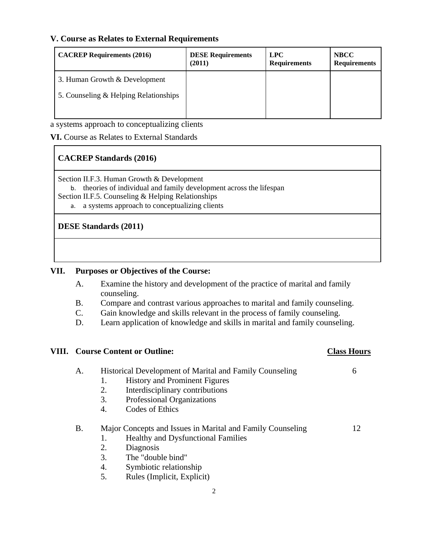## **V. Course as Relates to External Requirements**

| <b>CACREP Requirements (2016)</b>     | <b>DESE Requirements</b><br>(2011) | <b>LPC</b><br><b>Requirements</b> | <b>NBCC</b><br><b>Requirements</b> |
|---------------------------------------|------------------------------------|-----------------------------------|------------------------------------|
| 3. Human Growth & Development         |                                    |                                   |                                    |
| 5. Counseling & Helping Relationships |                                    |                                   |                                    |
|                                       |                                    |                                   |                                    |

a systems approach to conceptualizing clients

**VI.** Course as Relates to External Standards

# **CACREP Standards (2016)**

Section II.F.3. Human Growth & Development

b. theories of individual and family development across the lifespan

Section II.F.5. Counseling & Helping Relationships

a. a systems approach to conceptualizing clients

## **DESE Standards (2011)**

## **VII. Purposes or Objectives of the Course:**

- A. Examine the history and development of the practice of marital and family counseling.
- B. Compare and contrast various approaches to marital and family counseling.
- C. Gain knowledge and skills relevant in the process of family counseling.
- D. Learn application of knowledge and skills in marital and family counseling.

## **VIII. Course Content or Outline: Class Hours**

| А. | Historical Development of Marital and Family Counseling |                                      |  |
|----|---------------------------------------------------------|--------------------------------------|--|
|    |                                                         | <b>History and Prominent Figures</b> |  |
|    |                                                         | Interdisciplinary contributions      |  |

- 3. Professional Organizations
- 4. Codes of Ethics

## B. Major Concepts and Issues in Marital and Family Counseling 12

- 1. Healthy and Dysfunctional Families
- 2. Diagnosis
- 3. The "double bind"
- 4. Symbiotic relationship
- 5. Rules (Implicit, Explicit)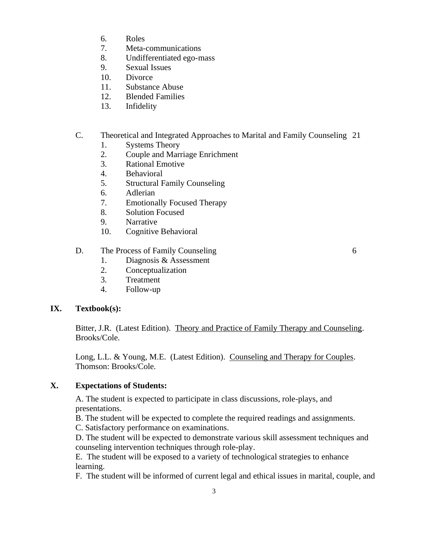- 6. Roles
- 7. Meta-communications
- 8. Undifferentiated ego-mass
- 9. Sexual Issues
- 10. Divorce
- 11. Substance Abuse
- 12. Blended Families
- 13. Infidelity

# C. Theoretical and Integrated Approaches to Marital and Family Counseling 21

- 1. Systems Theory
- 2. Couple and Marriage Enrichment
- 3. Rational Emotive
- 4. Behavioral
- 5. Structural Family Counseling
- 6. Adlerian
- 7. Emotionally Focused Therapy
- 8. Solution Focused
- 9. Narrative
- 10. Cognitive Behavioral

## D. The Process of Family Counseling 6

- 1. Diagnosis & Assessment
- 2. Conceptualization
- 3. Treatment
- 4. Follow-up

## **IX. Textbook(s):**

Bitter, J.R. (Latest Edition). Theory and Practice of Family Therapy and Counseling. Brooks/Cole.

Long, L.L. & Young, M.E. (Latest Edition). Counseling and Therapy for Couples. Thomson: Brooks/Cole.

## **X. Expectations of Students:**

A. The student is expected to participate in class discussions, role-plays, and presentations.

B. The student will be expected to complete the required readings and assignments.

C. Satisfactory performance on examinations.

D. The student will be expected to demonstrate various skill assessment techniques and counseling intervention techniques through role-play.

E. The student will be exposed to a variety of technological strategies to enhance learning.

F. The student will be informed of current legal and ethical issues in marital, couple, and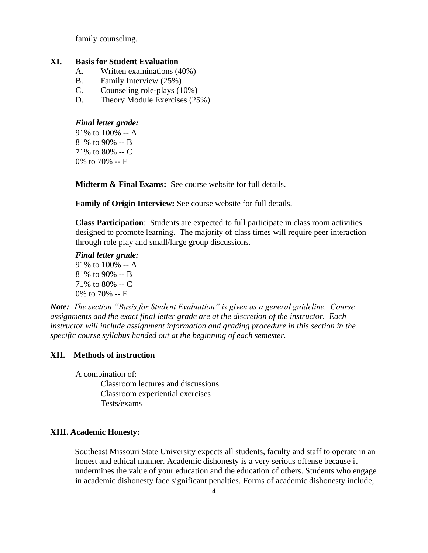family counseling.

## **XI. Basis for Student Evaluation**

- A. Written examinations (40%)
- B. Family Interview (25%)
- C. Counseling role-plays (10%)
- D. Theory Module Exercises (25%)

#### *Final letter grade:*

91% to 100% -- A 81% to 90% -- B 71% to 80% -- C 0% to 70% -- F

**Midterm & Final Exams:** See course website for full details.

**Family of Origin Interview:** See course website for full details.

**Class Participation**: Students are expected to full participate in class room activities designed to promote learning. The majority of class times will require peer interaction through role play and small/large group discussions.

## *Final letter grade:*

91% to 100% -- A 81% to 90% -- B 71% to 80% -- C 0% to 70% -- F

*Note: The section "Basis for Student Evaluation" is given as a general guideline. Course assignments and the exact final letter grade are at the discretion of the instructor. Each instructor will include assignment information and grading procedure in this section in the specific course syllabus handed out at the beginning of each semester.*

## **XII. Methods of instruction**

A combination of:

Classroom lectures and discussions Classroom experiential exercises Tests/exams

## **XIII. Academic Honesty:**

Southeast Missouri State University expects all students, faculty and staff to operate in an honest and ethical manner. Academic dishonesty is a very serious offense because it undermines the value of your education and the education of others. Students who engage in academic dishonesty face significant penalties. Forms of academic dishonesty include,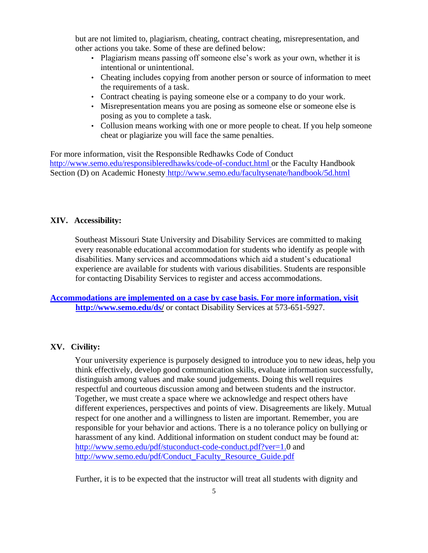but are not limited to, plagiarism, cheating, contract cheating, misrepresentation, and other actions you take. Some of these are defined below:

- Plagiarism means passing off someone else's work as your own, whether it is intentional or unintentional.
- Cheating includes copying from another person or source of information to meet the requirements of a task.
- Contract cheating is paying someone else or a company to do your work.
- Misrepresentation means you are posing as someone else or someone else is posing as you to complete a task.
- Collusion means working with one or more people to cheat. If you help someone cheat or plagiarize you will face the same penalties.

For more information, visit the Responsible Redhawks Code of Conduct http://www.semo.edu/responsibleredhawks/code-of-conduct.html or the Faculty Handbook Section (D) on Academic Honesty http://www.semo.edu/facultysenate/handbook/5d.html

### **XIV. Accessibility:**

Southeast Missouri State University and Disability Services are committed to making every reasonable educational accommodation for students who identify as people with disabilities. Many services and accommodations which aid a student's educational experience are available for students with various disabilities. Students are responsible for contacting Disability Services to register and access accommodations.

**Accommodations are implemented on a case by case basis. For more information, visit http://www.semo.edu/ds/** or contact Disability Services at 573-651-5927.

#### **XV. Civility:**

Your university experience is purposely designed to introduce you to new ideas, help you think effectively, develop good communication skills, evaluate information successfully, distinguish among values and make sound judgements. Doing this well requires respectful and courteous discussion among and between students and the instructor. Together, we must create a space where we acknowledge and respect others have different experiences, perspectives and points of view. Disagreements are likely. Mutual respect for one another and a willingness to listen are important. Remember, you are responsible for your behavior and actions. There is a no tolerance policy on bullying or harassment of any kind. Additional information on student conduct may be found at: http://www.semo.edu/pdf/stuconduct-code-conduct.pdf?ver=1.0 and http://www.semo.edu/pdf/Conduct\_Faculty\_Resource\_Guide.pdf

Further, it is to be expected that the instructor will treat all students with dignity and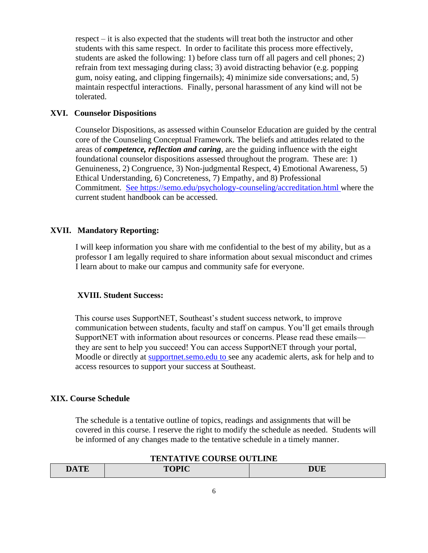respect – it is also expected that the students will treat both the instructor and other students with this same respect. In order to facilitate this process more effectively, students are asked the following: 1) before class turn off all pagers and cell phones; 2) refrain from text messaging during class; 3) avoid distracting behavior (e.g. popping gum, noisy eating, and clipping fingernails); 4) minimize side conversations; and, 5) maintain respectful interactions. Finally, personal harassment of any kind will not be tolerated.

## **XVI. Counselor Dispositions**

Counselor Dispositions, as assessed within Counselor Education are guided by the central core of the Counseling Conceptual Framework. The beliefs and attitudes related to the areas of *competence, reflection and caring*, are the guiding influence with the eight foundational counselor dispositions assessed throughout the program. These are: 1) Genuineness, 2) Congruence, 3) Non-judgmental Respect, 4) Emotional Awareness, 5) Ethical Understanding, 6) Concreteness, 7) Empathy, and 8) Professional Commitment. See https://semo.edu/psychology-counseling/accreditation.html where the current student handbook can be accessed.

## **XVII. Mandatory Reporting:**

I will keep information you share with me confidential to the best of my ability, but as a professor I am legally required to share information about sexual misconduct and crimes I learn about to make our campus and community safe for everyone.

#### **XVIII. Student Success:**

This course uses SupportNET, Southeast's student success network, to improve communication between students, faculty and staff on campus. You'll get emails through SupportNET with information about resources or concerns. Please read these emails they are sent to help you succeed! You can access SupportNET through your portal, Moodle or directly at supportnet.semo.edu to see any academic alerts, ask for help and to access resources to support your success at Southeast.

#### **XIX. Course Schedule**

The schedule is a tentative outline of topics, readings and assignments that will be covered in this course. I reserve the right to modify the schedule as needed. Students will be informed of any changes made to the tentative schedule in a timely manner.

| TENTATIVE COUNSE OUTERVE |              |            |  |  |
|--------------------------|--------------|------------|--|--|
| DATE                     | <b>TOPIC</b> | <b>DUE</b> |  |  |

# **TENTATIVE COUPSE OUTLINE**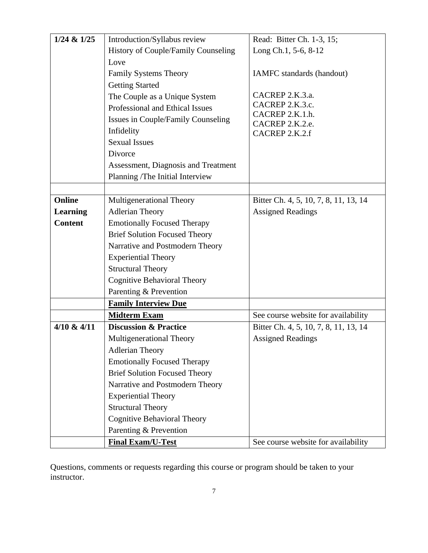| $1/24$ & $1/25$ | Introduction/Syllabus review         | Read: Bitter Ch. 1-3, 15;             |
|-----------------|--------------------------------------|---------------------------------------|
|                 | History of Couple/Family Counseling  | Long Ch.1, 5-6, 8-12                  |
|                 | Love                                 |                                       |
|                 | <b>Family Systems Theory</b>         | IAMFC standards (handout)             |
|                 | <b>Getting Started</b>               |                                       |
|                 | The Couple as a Unique System        | CACREP 2.K.3.a.                       |
|                 | Professional and Ethical Issues      | CACREP 2.K.3.c.                       |
|                 | Issues in Couple/Family Counseling   | CACREP 2.K.1.h.                       |
|                 | Infidelity                           | CACREP 2.K.2.e.<br>CACREP 2.K.2.f     |
|                 | <b>Sexual Issues</b>                 |                                       |
|                 | Divorce                              |                                       |
|                 | Assessment, Diagnosis and Treatment  |                                       |
|                 | Planning /The Initial Interview      |                                       |
|                 |                                      |                                       |
| Online          | <b>Multigenerational Theory</b>      | Bitter Ch. 4, 5, 10, 7, 8, 11, 13, 14 |
| <b>Learning</b> | <b>Adlerian Theory</b>               | <b>Assigned Readings</b>              |
| <b>Content</b>  | <b>Emotionally Focused Therapy</b>   |                                       |
|                 | <b>Brief Solution Focused Theory</b> |                                       |
|                 | Narrative and Postmodern Theory      |                                       |
|                 | <b>Experiential Theory</b>           |                                       |
|                 | <b>Structural Theory</b>             |                                       |
|                 | <b>Cognitive Behavioral Theory</b>   |                                       |
|                 | Parenting & Prevention               |                                       |
|                 | <b>Family Interview Due</b>          |                                       |
|                 | <b>Midterm Exam</b>                  | See course website for availability   |
| $4/10 \& 4/11$  | <b>Discussion &amp; Practice</b>     | Bitter Ch. 4, 5, 10, 7, 8, 11, 13, 14 |
|                 | <b>Multigenerational Theory</b>      | <b>Assigned Readings</b>              |
|                 | <b>Adlerian Theory</b>               |                                       |
|                 | <b>Emotionally Focused Therapy</b>   |                                       |
|                 | <b>Brief Solution Focused Theory</b> |                                       |
|                 | Narrative and Postmodern Theory      |                                       |
|                 | <b>Experiential Theory</b>           |                                       |
|                 | <b>Structural Theory</b>             |                                       |
|                 | <b>Cognitive Behavioral Theory</b>   |                                       |
|                 | Parenting & Prevention               |                                       |
|                 | <b>Final Exam/U-Test</b>             | See course website for availability   |

Questions, comments or requests regarding this course or program should be taken to your instructor.